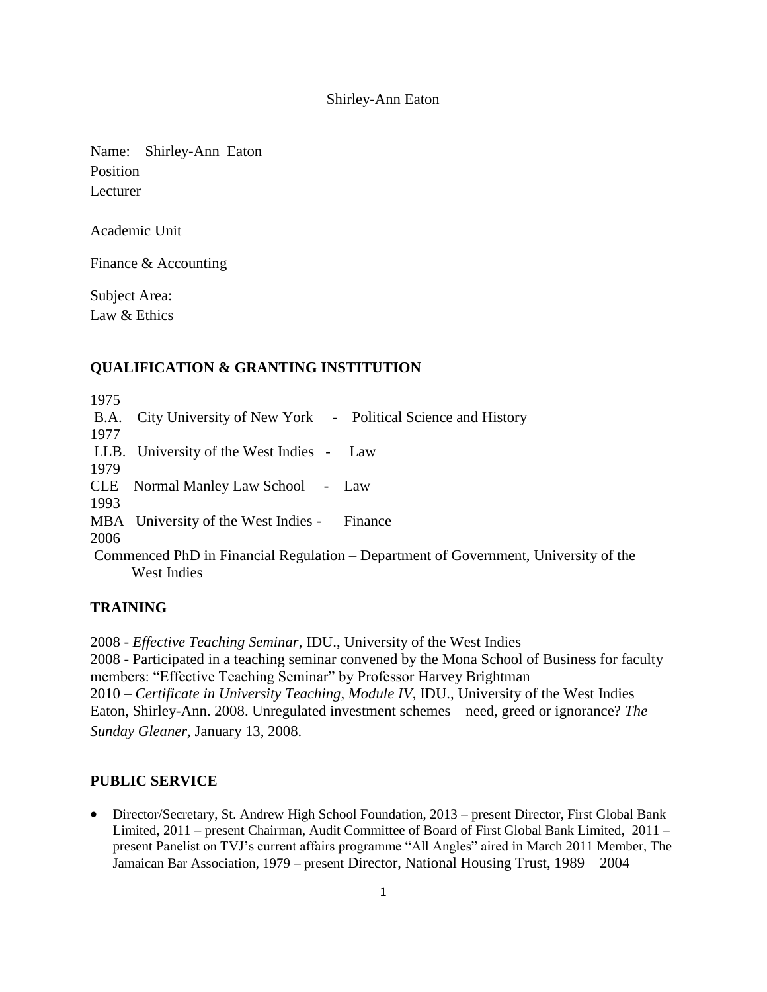Shirley-Ann Eaton

Name: Shirley-Ann Eaton Position Lecturer

Academic Unit

Finance & Accounting

Subject Area: Law & Ethics

#### **QUALIFICATION & GRANTING INSTITUTION**

1975 B.A. City University of New York - Political Science and History 1977 LLB. University of the West Indies - Law 1979 CLE Normal Manley Law School - Law 1993 MBA University of the West Indies - Finance 2006 Commenced PhD in Financial Regulation – Department of Government, University of the West Indies

### **TRAINING**

2008 - *Effective Teaching Seminar*, IDU., University of the West Indies 2008 - Participated in a teaching seminar convened by the Mona School of Business for faculty members: "Effective Teaching Seminar" by Professor Harvey Brightman 2010 – *Certificate in University Teaching, Module IV*, IDU., University of the West Indies Eaton, Shirley-Ann. 2008. Unregulated investment schemes – need, greed or ignorance? *The Sunday Gleaner,* January 13, 2008.

#### **PUBLIC SERVICE**

 Director/Secretary, St. Andrew High School Foundation, 2013 – present Director, First Global Bank Limited, 2011 – present Chairman, Audit Committee of Board of First Global Bank Limited, 2011 – present Panelist on TVJ's current affairs programme "All Angles" aired in March 2011 Member, The Jamaican Bar Association, 1979 – present Director, National Housing Trust, 1989 – 2004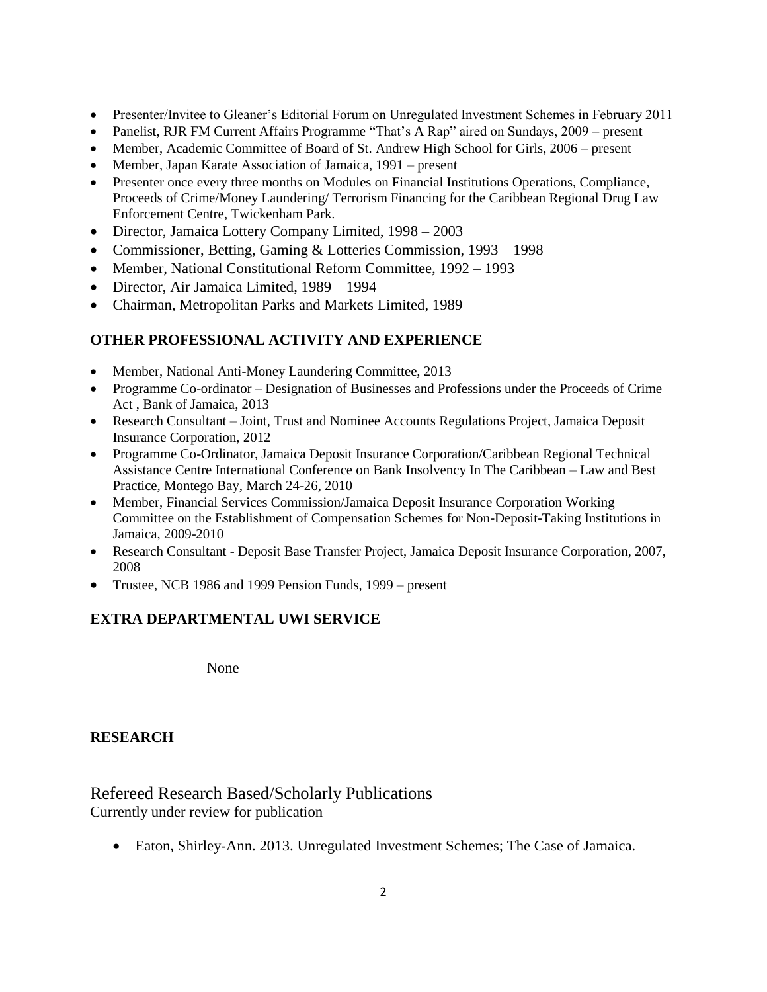- Presenter/Invitee to Gleaner's Editorial Forum on Unregulated Investment Schemes in February 2011
- Panelist, RJR FM Current Affairs Programme "That's A Rap" aired on Sundays, 2009 present
- Member, Academic Committee of Board of St. Andrew High School for Girls, 2006 present
- Member, Japan Karate Association of Jamaica, 1991 present
- Presenter once every three months on Modules on Financial Institutions Operations, Compliance, Proceeds of Crime/Money Laundering/ Terrorism Financing for the Caribbean Regional Drug Law Enforcement Centre, Twickenham Park.
- Director, Jamaica Lottery Company Limited, 1998 2003
- Commissioner, Betting, Gaming & Lotteries Commission, 1993 1998
- Member, National Constitutional Reform Committee, 1992 1993
- Director, Air Jamaica Limited, 1989 1994
- Chairman, Metropolitan Parks and Markets Limited, 1989

## **OTHER PROFESSIONAL ACTIVITY AND EXPERIENCE**

- Member, National Anti-Money Laundering Committee, 2013
- Programme Co-ordinator Designation of Businesses and Professions under the Proceeds of Crime Act , Bank of Jamaica, 2013
- Research Consultant Joint, Trust and Nominee Accounts Regulations Project, Jamaica Deposit Insurance Corporation, 2012
- Programme Co-Ordinator, Jamaica Deposit Insurance Corporation/Caribbean Regional Technical Assistance Centre International Conference on Bank Insolvency In The Caribbean – Law and Best Practice, Montego Bay, March 24-26, 2010
- Member, Financial Services Commission/Jamaica Deposit Insurance Corporation Working Committee on the Establishment of Compensation Schemes for Non-Deposit-Taking Institutions in Jamaica, 2009-2010
- Research Consultant Deposit Base Transfer Project, Jamaica Deposit Insurance Corporation, 2007, 2008
- Trustee, NCB 1986 and 1999 Pension Funds, 1999 present

# **EXTRA DEPARTMENTAL UWI SERVICE**

None

## **RESEARCH**

# Refereed Research Based/Scholarly Publications Currently under review for publication

Eaton, Shirley-Ann. 2013. Unregulated Investment Schemes; The Case of Jamaica.